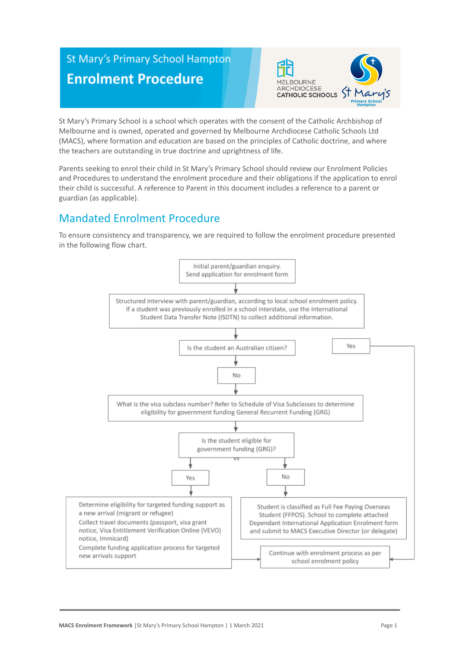# **St Mary's Primary School Hampton Enrolment Procedure**



St Mary's Primary School is a school which operates with the consent of the Catholic Archbishop of Melbourne and is owned, operated and governed by Melbourne Archdiocese Catholic Schools Ltd (MACS), where formation and education are based on the principles of Catholic doctrine, and where the teachers are outstanding in true doctrine and uprightness of life.

Parents seeking to enrol their child in St Mary's Primary School should review our Enrolment Policies and Procedures to understand the enrolment procedure and their obligations if the application to enrol their child is successful. A reference to Parent in this document includes a reference to a parent or guardian (as applicable).

# Mandated Enrolment Procedure

To ensure consistency and transparency, we are required to follow the enrolment procedure presented in the following flow chart.

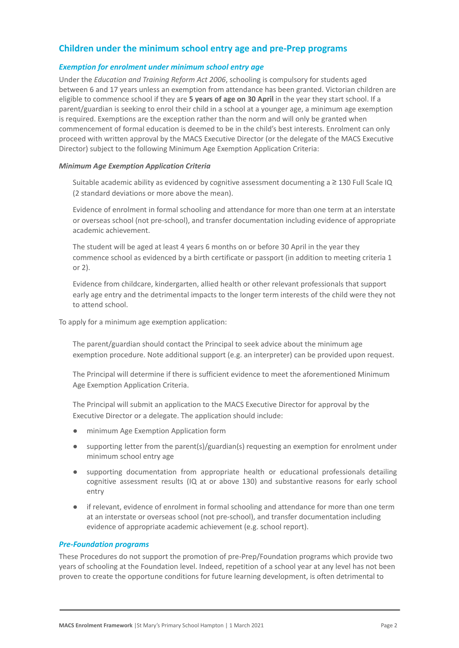# **Children under the minimum school entry age and pre-Prep programs**

#### *Exemption for enrolment under minimum school entry age*

Under the *Education and Training Reform Act 2006*, schooling is compulsory for students aged between 6 and 17 years unless an exemption from attendance has been granted. Victorian children are eligible to commence school if they are **5 years of age on 30 April** in the year they start school. If a parent/guardian is seeking to enrol their child in a school at a younger age, a minimum age exemption is required. Exemptions are the exception rather than the norm and will only be granted when commencement of formal education is deemed to be in the child's best interests. Enrolment can only proceed with written approval by the MACS Executive Director (or the delegate of the MACS Executive Director) subject to the following Minimum Age Exemption Application Criteria:

#### *Minimum Age Exemption Application Criteria*

Suitable academic ability as evidenced by cognitive assessment documenting a  $\geq$  130 Full Scale IQ (2 standard deviations or more above the mean).

Evidence of enrolment in formal schooling and attendance for more than one term at an interstate or overseas school (not pre-school), and transfer documentation including evidence of appropriate academic achievement.

The student will be aged at least 4 years 6 months on or before 30 April in the year they commence school as evidenced by a birth certificate or passport (in addition to meeting criteria 1 or 2).

4. Evidence from childcare, kindergarten, allied health or other relevant professionals that support early age entry and the detrimental impacts to the longer term interests of the child were they not to attend school.

To apply for a minimum age exemption application:

The parent/guardian should contact the Principal to seek advice about the minimum age exemption procedure. Note additional support (e.g. an interpreter) can be provided upon request.

2. The Principal will determine if there is sufficient evidence to meet the aforementioned Minimum Age Exemption Application Criteria.

The Principal will submit an application to the MACS Executive Director for approval by the Executive Director or a delegate. The application should include:

- minimum Age Exemption Application form
- supporting letter from the parent(s)/guardian(s) requesting an exemption for enrolment under minimum school entry age
- supporting documentation from appropriate health or educational professionals detailing cognitive assessment results (IQ at or above 130) and substantive reasons for early school entry
- if relevant, evidence of enrolment in formal schooling and attendance for more than one term at an interstate or overseas school (not pre-school), and transfer documentation including evidence of appropriate academic achievement (e.g. school report).

#### *Pre-Foundation programs*

These Procedures do not support the promotion of pre-Prep/Foundation programs which provide two years of schooling at the Foundation level. Indeed, repetition of a school year at any level has not been proven to create the opportune conditions for future learning development, is often detrimental to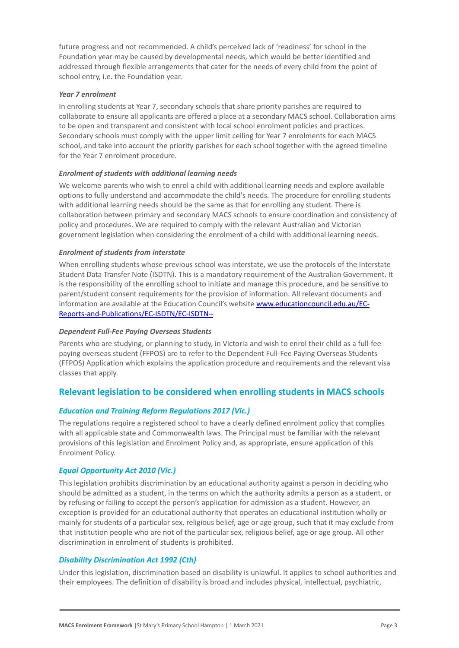future progress and not recommended. A child's perceived lack of 'readiness' for school in the Foundation year may be caused by developmental needs, which would be better identified and addressed through flexible arrangements that cater for the needs of every child from the point of school entry, i.e. the Foundation year.

#### *Year 7 enrolment*

In enrolling students at Year 7, secondary schools that share priority parishes are required to collaborate to ensure all applicants are offered a place at a secondary MACS school. Collaboration aims to be open and transparent and consistent with local school enrolment policies and practices. Secondary schools must comply with the upper limit ceiling for Year 7 enrolments for each MACS school, and take into account the priority parishes for each school together with the agreed timeline for the Year 7 enrolment procedure.

#### *Enrolment of students with additional learning needs*

We welcome parents who wish to enrol a child with additional learning needs and explore available options to fully understand and accommodate the child's needs. The procedure for enrolling students with additional learning needs should be the same as that for enrolling any student. There is collaboration between primary and secondary MACS schools to ensure coordination and consistency of policy and procedures. We are required to comply with the relevant Australian and Victorian government legislation when considering the enrolment of a child with additional learning needs.

#### *Enrolment of students from interstate*

When enrolling students whose previous school was interstate, we use the protocols of the Interstate Student Data Transfer Note (ISDTN). This is a mandatory requirement of the Australian Government. It is the responsibility of the enrolling school to initiate and manage this procedure, and be sensitive to parent/student consent requirements for the provision of information. All relevant documents and information are available at the Education Council's website [www.educationcouncil.edu.au/EC-](http://www.educationcouncil.edu.au/EC-Reports-and-Publications/EC-ISDTN/EC-ISDTN---Non-Gov-Schools.aspx)[Reports-and-Publications/EC-ISDTN/EC-ISDTN--](http://www.educationcouncil.edu.au/EC-Reports-and-Publications/EC-ISDTN/EC-ISDTN---Non-Gov-Schools.aspx)

#### *Dependent Full-Fee Paying Overseas Students*

Parents who are studying, or planning to study, in Victoria and wish to enrol their child as a full-fee paying overseas student (FFPOS) are to refer to the Dependent Full-Fee Paying Overseas Students (FFPOS) Application which explains the application procedure and requirements and the relevant visa classes that apply.

## **Relevant legislation to be considered when enrolling students in MACS schools**

#### *Education and Training Reform Regulations 2017 (Vic.)*

The regulations require a registered school to have a clearly defined enrolment policy that complies with all applicable state and Commonwealth laws. The Principal must be familiar with the relevant provisions of this legislation and Enrolment Policy and, as appropriate, ensure application of this Enrolment Policy.

#### *Equal Opportunity Act 2010 (Vic.)*

This legislation prohibits discrimination by an educational authority against a person in deciding who should be admitted as a student, in the terms on which the authority admits a person as a student, or by refusing or failing to accept the person's application for admission as a student. However, an exception is provided for an educational authority that operates an educational institution wholly or mainly for students of a particular sex, religious belief, age or age group, such that it may exclude from that institution people who are not of the particular sex, religious belief, age or age group. All other discrimination in enrolment of students is prohibited.

#### *Disability Discrimination Act 1992 (Cth)*

Under this legislation, discrimination based on disability is unlawful. It applies to school authorities and their employees. The definition of disability is broad and includes physical, intellectual, psychiatric,